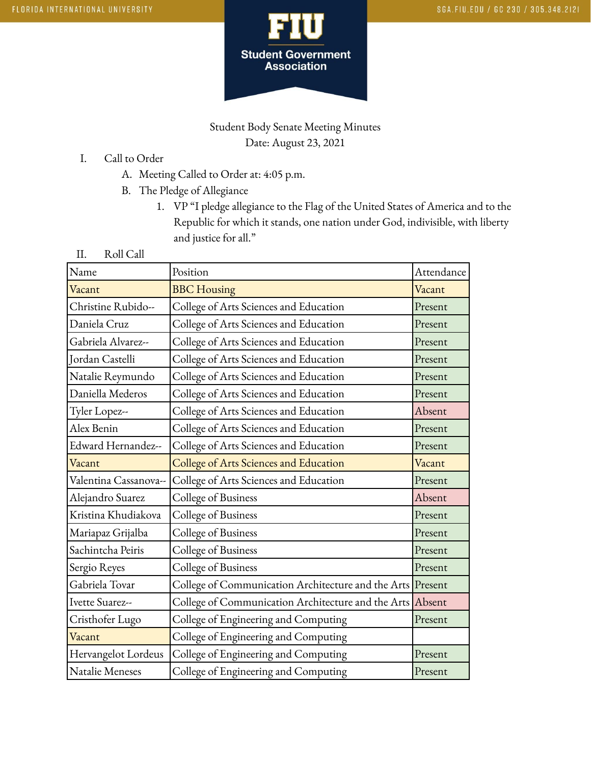

# Student Body Senate Meeting Minutes Date: August 23, 2021

- I. Call to Order
	- A. Meeting Called to Order at: 4:05 p.m.
	- B. The Pledge of Allegiance
		- 1. VP "I pledge allegiance to the Flag of the United States of America and to the Republic for which it stands, one nation under God, indivisible, with liberty and justice for all."
- II. Roll Call

| Name                   | Position                                                   | Attendance |
|------------------------|------------------------------------------------------------|------------|
| Vacant                 | <b>BBC</b> Housing                                         | Vacant     |
| Christine Rubido--     | College of Arts Sciences and Education                     | Present    |
| Daniela Cruz           | College of Arts Sciences and Education                     | Present    |
| Gabriela Alvarez--     | College of Arts Sciences and Education                     | Present    |
| <b>Jordan Castelli</b> | College of Arts Sciences and Education                     | Present    |
| Natalie Reymundo       | College of Arts Sciences and Education                     | Present    |
| Daniella Mederos       | College of Arts Sciences and Education                     | Present    |
| Tyler Lopez--          | College of Arts Sciences and Education                     | Absent     |
| Alex Benin             | College of Arts Sciences and Education                     | Present    |
| Edward Hernandez--     | College of Arts Sciences and Education                     | Present    |
| Vacant                 | College of Arts Sciences and Education                     | Vacant     |
| Valentina Cassanova--  | College of Arts Sciences and Education                     | Present    |
| Alejandro Suarez       | College of Business                                        | Absent     |
| Kristina Khudiakova    | College of Business                                        | Present    |
| Mariapaz Grijalba      | College of Business                                        | Present    |
| Sachintcha Peiris      | College of Business                                        | Present    |
| Sergio Reyes           | College of Business                                        | Present    |
| Gabriela Tovar         | College of Communication Architecture and the Arts Present |            |
| Ivette Suarez--        | College of Communication Architecture and the Arts Absent  |            |
| Cristhofer Lugo        | College of Engineering and Computing                       | Present    |
| Vacant                 | College of Engineering and Computing                       |            |
| Hervangelot Lordeus    | College of Engineering and Computing                       | Present    |
| Natalie Meneses        | College of Engineering and Computing                       | Present    |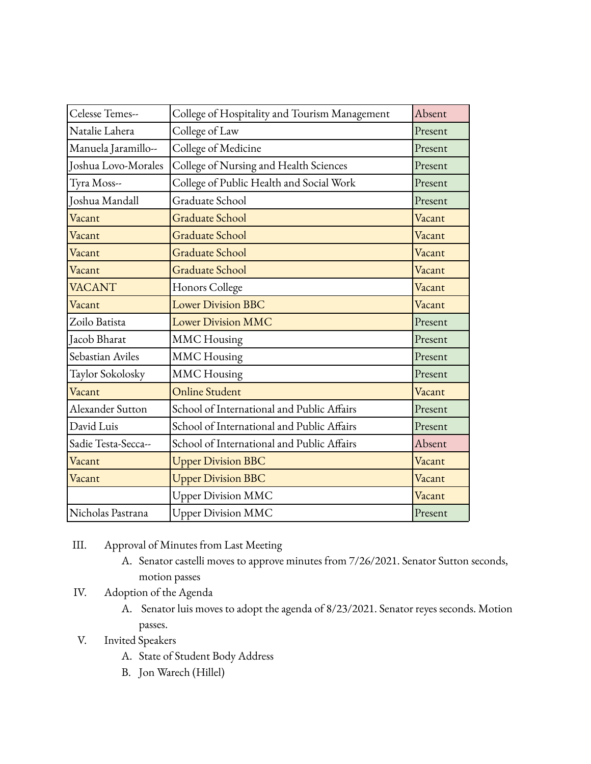| Celesse Temes--     | College of Hospitality and Tourism Management | Absent  |
|---------------------|-----------------------------------------------|---------|
| Natalie Lahera      | College of Law                                | Present |
| Manuela Jaramillo-- | College of Medicine                           | Present |
| Joshua Lovo-Morales | College of Nursing and Health Sciences        | Present |
| Tyra Moss--         | College of Public Health and Social Work      | Present |
| Joshua Mandall      | Graduate School                               | Present |
| Vacant              | <b>Graduate School</b>                        | Vacant  |
| Vacant              | <b>Graduate School</b>                        | Vacant  |
| Vacant              | <b>Graduate School</b>                        | Vacant  |
| Vacant              | <b>Graduate School</b>                        | Vacant  |
| <b>VACANT</b>       | Honors College                                | Vacant  |
| Vacant              | <b>Lower Division BBC</b>                     | Vacant  |
| Zoilo Batista       | <b>Lower Division MMC</b>                     | Present |
| Jacob Bharat        | <b>MMC</b> Housing                            | Present |
| Sebastian Aviles    | <b>MMC</b> Housing                            | Present |
| Taylor Sokolosky    | <b>MMC</b> Housing                            | Present |
| Vacant              | <b>Online Student</b>                         | Vacant  |
| Alexander Sutton    | School of International and Public Affairs    | Present |
| David Luis          | School of International and Public Affairs    | Present |
| Sadie Testa-Secca-- | School of International and Public Affairs    | Absent  |
| Vacant              | <b>Upper Division BBC</b>                     | Vacant  |
| Vacant              | <b>Upper Division BBC</b>                     | Vacant  |
|                     | <b>Upper Division MMC</b>                     | Vacant  |
| Nicholas Pastrana   | <b>Upper Division MMC</b>                     | Present |

- III. Approval of Minutes from Last Meeting
	- A. Senator castelli moves to approve minutes from 7/26/2021. Senator Sutton seconds, motion passes
- IV. Adoption of the Agenda
	- A. Senator luis moves to adopt the agenda of 8/23/2021. Senator reyes seconds. Motion passes.
- V. Invited Speakers
	- A. State of Student Body Address
	- B. Jon Warech (Hillel)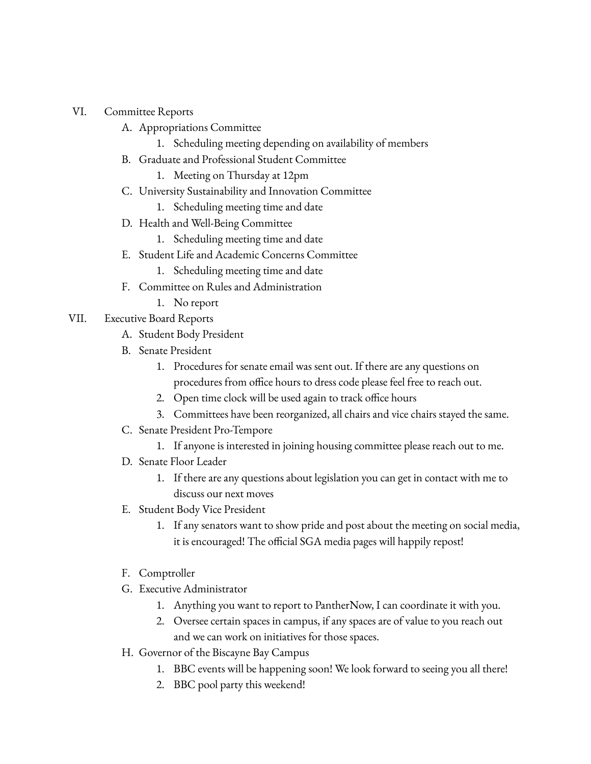### VI. Committee Reports

- A. Appropriations Committee
	- 1. Scheduling meeting depending on availability of members
- B. Graduate and Professional Student Committee
	- 1. Meeting on Thursday at 12pm
- C. University Sustainability and Innovation Committee
	- 1. Scheduling meeting time and date
- D. Health and Well-Being Committee
	- 1. Scheduling meeting time and date
- E. Student Life and Academic Concerns Committee
	- 1. Scheduling meeting time and date
- F. Committee on Rules and Administration
	- 1. No report
- VII. Executive Board Reports
	- A. Student Body President
	- B. Senate President
		- 1. Procedures for senate email was sent out. If there are any questions on procedures from office hours to dress code please feel free to reach out.
		- 2. Open time clock will be used again to track office hours
		- 3. Committees have been reorganized, all chairs and vice chairs stayed the same.
	- C. Senate President Pro-Tempore
		- 1. If anyone is interested in joining housing committee please reach out to me.
	- D. Senate Floor Leader
		- 1. If there are any questions about legislation you can get in contact with me to discuss our next moves
	- E. Student Body Vice President
		- 1. If any senators want to show pride and post about the meeting on social media, it is encouraged! The official SGA media pages will happily repost!
	- F. Comptroller
	- G. Executive Administrator
		- 1. Anything you want to report to PantherNow, I can coordinate it with you.
		- 2. Oversee certain spaces in campus, if any spaces are of value to you reach out and we can work on initiatives for those spaces.
	- H. Governor of the Biscayne Bay Campus
		- 1. BBC events will be happening soon! We look forward to seeing you all there!
		- 2. BBC pool party this weekend!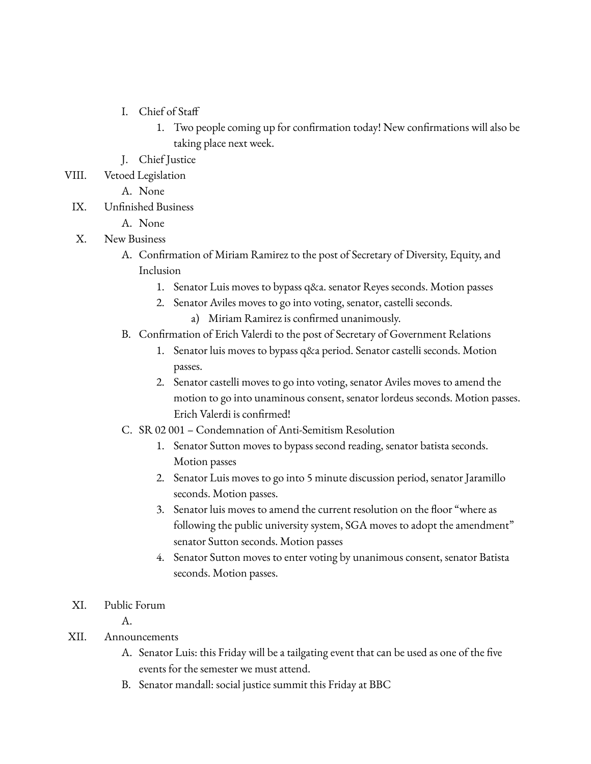- I. Chief of Staff
	- 1. Two people coming up for confirmation today! New confirmations will also be taking place next week.
- J. Chief Justice
- VIII. Vetoed Legislation
	- A. None
- IX. Unfinished Business
	- A. None

### X. New Business

- A. Confirmation of Miriam Ramirez to the post of Secretary of Diversity, Equity, and Inclusion
	- 1. Senator Luis moves to bypass q&a. senator Reyes seconds. Motion passes
	- 2. Senator Aviles moves to go into voting, senator, castelli seconds.
		- a) Miriam Ramirez is confirmed unanimously.
- B. Confirmation of Erich Valerdi to the post of Secretary of Government Relations
	- 1. Senator luis moves to bypass q&a period. Senator castelli seconds. Motion passes.
	- 2. Senator castelli moves to go into voting, senator Aviles moves to amend the motion to go into unaminous consent, senator lordeus seconds. Motion passes. Erich Valerdi is confirmed!
- C. SR 02 001 Condemnation of Anti-Semitism Resolution
	- 1. Senator Sutton moves to bypass second reading, senator batista seconds. Motion passes
	- 2. Senator Luis moves to go into 5 minute discussion period, senator Jaramillo seconds. Motion passes.
	- 3. Senator luis moves to amend the current resolution on the floor "where as following the public university system, SGA moves to adopt the amendment" senator Sutton seconds. Motion passes
	- 4. Senator Sutton moves to enter voting by unanimous consent, senator Batista seconds. Motion passes.

#### XI. Public Forum

A.

- XII. Announcements
	- A. Senator Luis: this Friday will be a tailgating event that can be used as one of the five events for the semester we must attend.
	- B. Senator mandall: social justice summit this Friday at BBC